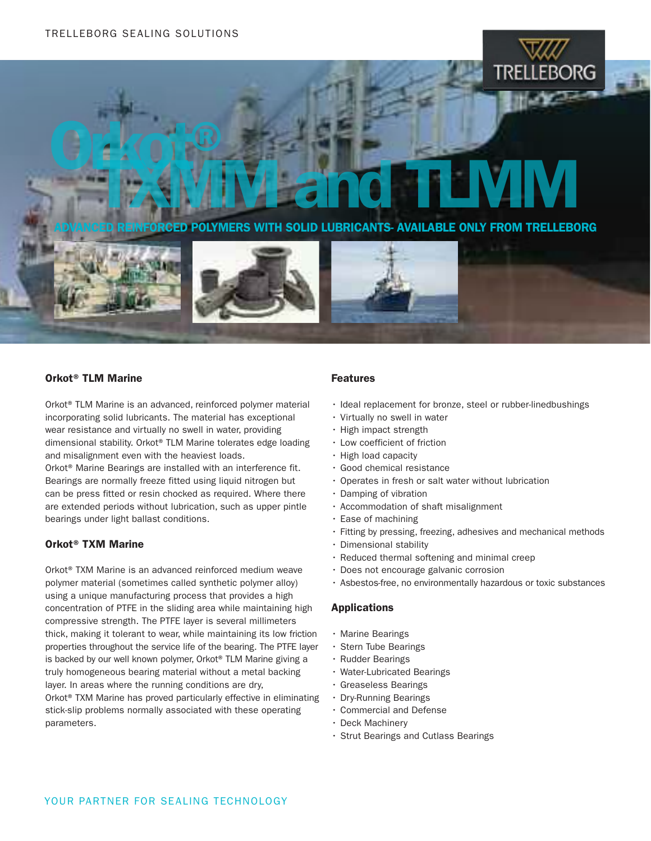# Orkot® TXMM and TLMM

OLYMERS WITH SOLID LUBRICANTS- AVAILABLE ONLY FROM TRELLEBORG





### Orkot® TLM Marine

Orkot® TLM Marine is an advanced, reinforced polymer material incorporating solid lubricants. The material has exceptional wear resistance and virtually no swell in water, providing dimensional stability. Orkot® TLM Marine tolerates edge loading and misalignment even with the heaviest loads. Orkot® Marine Bearings are installed with an interference fit. Bearings are normally freeze fitted using liquid nitrogen but can be press fitted or resin chocked as required. Where there are extended periods without lubrication, such as upper pintle bearings under light ballast conditions.

#### Orkot® TXM Marine

Orkot® TXM Marine is an advanced reinforced medium weave polymer material (sometimes called synthetic polymer alloy) using a unique manufacturing process that provides a high concentration of PTFE in the sliding area while maintaining high compressive strength. The PTFE layer is several millimeters thick, making it tolerant to wear, while maintaining its low friction properties throughout the service life of the bearing. The PTFE layer is backed by our well known polymer, Orkot® TLM Marine giving a truly homogeneous bearing material without a metal backing layer. In areas where the running conditions are dry, Orkot® TXM Marine has proved particularly effective in eliminating stick-slip problems normally associated with these operating parameters.

#### Features

- Ideal replacement for bronze, steel or rubber-linedbushings
- • Virtually no swell in water
- • High impact strength
- • Low coefficient of friction
- • High load capacity
- • Good chemical resistance
- • Operates in fresh or salt water without lubrication
- • Damping of vibration
- • Accommodation of shaft misalignment
- • Ease of machining
- • Fitting by pressing, freezing, adhesives and mechanical methods
- • Dimensional stability
- $\cdot$  Reduced thermal softening and minimal creep
- • Does not encourage galvanic corrosion
- • Asbestos-free, no environmentally hazardous or toxic substances

#### Applications

- • Marine Bearings
- • Stern Tube Bearings
- • Rudder Bearings
- • Water-Lubricated Bearings
- • Greaseless Bearings
- • Dry-Running Bearings
	- • Commercial and Defense
	- Deck Machinery
	- • Strut Bearings and Cutlass Bearings